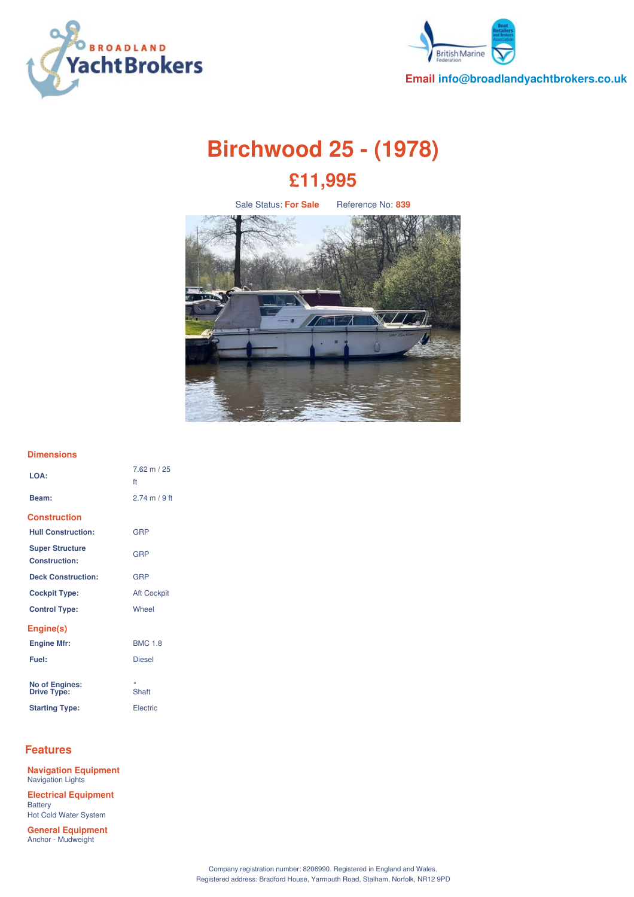



**Email info@broadlandyachtbrokers.co.uk**

# **Birchwood 25 - (1978) £11,995**

Sale Status: **For Sale** Reference No: **839**



### **Dimensions**

| LOA:                                           | $7.62 \text{ m} / 25$<br>ft |
|------------------------------------------------|-----------------------------|
| Beam:                                          | 274 m / 9 ft                |
| <b>Construction</b>                            |                             |
| <b>Hull Construction:</b>                      | GRP                         |
| <b>Super Structure</b><br><b>Construction:</b> | GRP                         |
| <b>Deck Construction:</b>                      | GRP                         |
| <b>Cockpit Type:</b>                           | <b>Aft Cockpit</b>          |
| <b>Control Type:</b>                           | Wheel                       |
| Engine(s)                                      |                             |
| <b>Engine Mfr:</b>                             | <b>BMC 1.8</b>              |
| Fuel:                                          | <b>Diesel</b>               |
|                                                |                             |
| <b>No of Engines:</b><br>Drive Type:           | z.<br>Shaft                 |
| <b>Starting Type:</b>                          | Electric                    |

## **Features**

**Navigation Equipment** Navigation Lights **Electrical Equipment Battery** Hot Cold Water System

**General Equipment** Anchor - Mudweight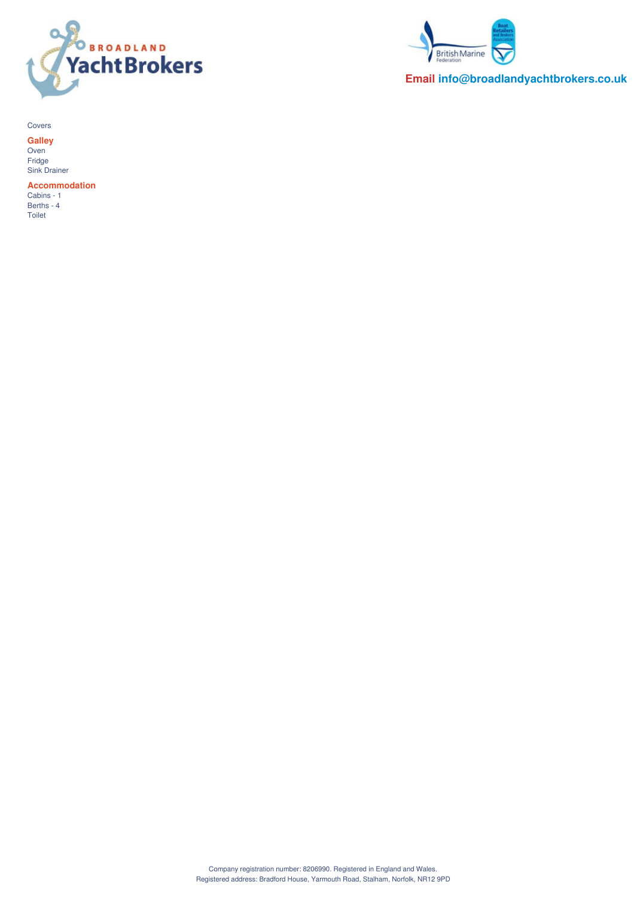



**Email info@broadlandyachtbrokers.co.uk**

Covers

**Galley** Oven Fridge Sink Drainer

**Accommodation** Cabins - 1

Berths - 4 Toilet